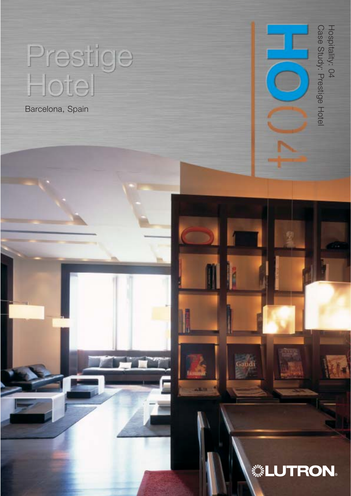# Prestige<br>Hotel

Barcelona, Spain

Hospitality: 04<br>Case Study: Prestige Hotel Case Study: Prestige Hotel Hospitality: 04

## **... LUTRON.**

.<br>Gaudi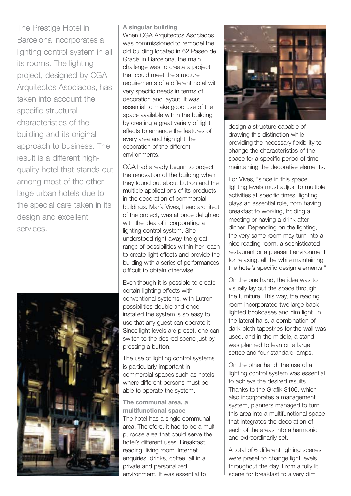The Prestige Hotel in Barcelona incorporates a lighting control system in all its rooms. The lighting project, designed by CGA Arquitectos Asociados, has taken into account the specific structural characteristics of the building and its original approach to business. The result is a different highquality hotel that stands out among most of the other large urban hotels due to the special care taken in its design and excellent services.



**A singular building**  When CGA Arquitectos Asociados was commissioned to remodel the old building located in 62 Paseo de Gracia in Barcelona, the main challenge was to create a project that could meet the structure requirements of a different hotel with very specific needs in terms of decoration and layout. It was essential to make good use of the space available within the building by creating a great variety of light effects to enhance the features of every area and highlight the decoration of the different environments.

CGA had already begun to project the renovation of the building when they found out about Lutron and the multiple applications of its products in the decoration of commercial buildings. María Vives, head architect of the project, was at once delighted with the idea of incorporating a lighting control system. She understood right away the great range of possibilities within her reach to create light effects and provide the building with a series of performances difficult to obtain otherwise.

Even though it is possible to create certain lighting effects with conventional systems, with Lutron possibilities double and once installed the system is so easy to use that any guest can operate it. Since light levels are preset, one can switch to the desired scene just by pressing a button.

The use of lighting control systems is particularly important in commercial spaces such as hotels where different persons must be able to operate the system.

**The communal area, a multifunctional space**  The hotel has a single communal area. Therefore, it had to be a multipurpose area that could serve the hotel's different uses. Breakfast, reading, living room, Internet enquiries, drinks, coffee, all in a private and personalized environment. It was essential to



design a structure capable of drawing this distinction while providing the necessary flexibility to change the characteristics of the space for a specific period of time maintaining the decorative elements.

For Vives, "since in this space lighting levels must adjust to multiple activities at specific times, lighting plays an essential role, from having breakfast to working, holding a meeting or having a drink after dinner. Depending on the lighting, the very same room may turn into a nice reading room, a sophisticated restaurant or a pleasant environment for relaxing, all the while maintaining the hotel's specific design elements."

On the one hand, the idea was to visually lay out the space through the furniture. This way, the reading room incorporated two large backlighted bookcases and dim light. In the lateral halls, a combination of dark-cloth tapestries for the wall was used, and in the middle, a stand was planned to lean on a large settee and four standard lamps.

On the other hand, the use of a lighting control system was essential to achieve the desired results. Thanks to the Grafik 3106, which also incorporates a management system, planners managed to turn this area into a multifunctional space that integrates the decoration of each of the areas into a harmonic and extraordinarily set.

A total of 6 different lighting scenes were preset to change light levels throughout the day. From a fully lit scene for breakfast to a very dim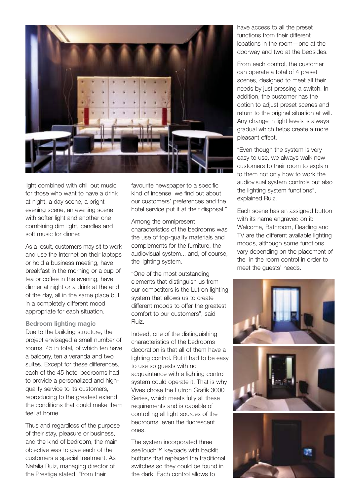

light combined with chill out music for those who want to have a drink at night, a day scene, a bright evening scene, an evening scene with softer light and another one combining dim light, candles and soft music for dinner.

As a result, customers may sit to work and use the Internet on their laptops or hold a business meeting, have breakfast in the morning or a cup of tea or coffee in the evening, have dinner at night or a drink at the end of the day, all in the same place but in a completely different mood appropriate for each situation.

**Bedroom lighting magic** Due to the building structure, the project envisaged a small number of rooms, 45 in total, of which ten have a balcony, ten a veranda and two suites. Except for these differences, each of the 45 hotel bedrooms had to provide a personalized and highquality service to its customers, reproducing to the greatest extend the conditions that could make them feel at home.

Thus and regardless of the purpose of their stay, pleasure or business, and the kind of bedroom, the main objective was to give each of the customers a special treatment. As Natalia Ruiz, managing director of the Prestige stated, "from their

favourite newspaper to a specific kind of incense, we find out about our customers' preferences and the hotel service put it at their disposal."

Among the omnipresent characteristics of the bedrooms was the use of top-quality materials and complements for the furniture, the audiovisual system... and, of course, the lighting system.

"One of the most outstanding elements that distinguish us from our competitors is the Lutron lighting system that allows us to create different moods to offer the greatest comfort to our customers", said Ruiz.

Indeed, one of the distinguishing characteristics of the bedrooms decoration is that all of them have a lighting control. But it had to be easy to use so guests with no acquaintance with a lighting control system could operate it. That is why Vives chose the Lutron Grafik 3000 Series, which meets fully all these requirements and is capable of controlling all light sources of the bedrooms, even the fluorescent ones.

The system incorporated three seeTouch<sup>™</sup> keypads with backlit buttons that replaced the traditional switches so they could be found in the dark. Each control allows to

have access to all the preset functions from their different locations in the room—one at the doorway and two at the bedsides.

From each control, the customer can operate a total of 4 preset scenes, designed to meet all their needs by just pressing a switch. In addition, the customer has the option to adjust preset scenes and return to the original situation at will. Any change in light levels is always gradual which helps create a more pleasant effect.

"Even though the system is very easy to use, we always walk new customers to their room to explain to them not only how to work the audiovisual system controls but also the lighting system functions", explained Ruiz.

Each scene has an assigned button with its name engraved on it: Welcome, Bathroom, Reading and TV are the different available lighting moods, although some functions vary depending on the placement of the in the room control in order to meet the guests' needs.